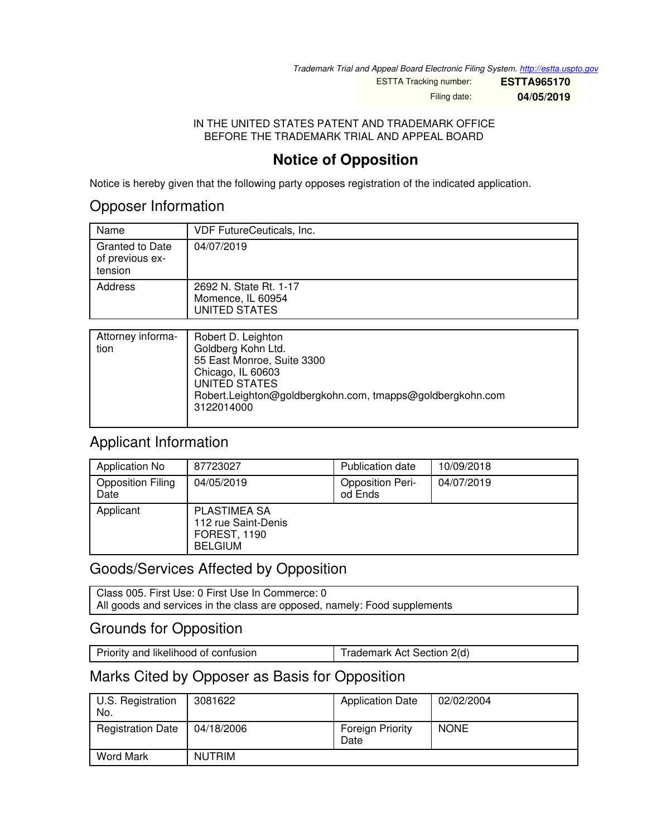*Trademark Trial and Appeal Board Electronic Filing System. <http://estta.uspto.gov>*

ESTTA Tracking number: **ESTTA965170** Filing date: **04/05/2019**

#### IN THE UNITED STATES PATENT AND TRADEMARK OFFICE BEFORE THE TRADEMARK TRIAL AND APPEAL BOARD

# **Notice of Opposition**

Notice is hereby given that the following party opposes registration of the indicated application.

## Opposer Information

| Name                                                 | <b>VDF FutureCeuticals, Inc.</b>                             |
|------------------------------------------------------|--------------------------------------------------------------|
| <b>Granted to Date</b><br>of previous ex-<br>tension | 04/07/2019                                                   |
| Address                                              | 2692 N. State Rt. 1-17<br>Momence, IL 60954<br>UNITED STATES |

| Attorney informa-<br>tion | Robert D. Leighton<br>Goldberg Kohn Ltd.<br>55 East Monroe, Suite 3300<br>Chicago, IL 60603<br>UNITED STATES<br>Robert.Leighton@goldbergkohn.com, tmapps@goldbergkohn.com |
|---------------------------|---------------------------------------------------------------------------------------------------------------------------------------------------------------------------|
|                           | 3122014000                                                                                                                                                                |

## Applicant Information

| Application No                   | 87723027                                                                            | <b>Publication date</b>            | 10/09/2018 |
|----------------------------------|-------------------------------------------------------------------------------------|------------------------------------|------------|
| <b>Opposition Filing</b><br>Date | 04/05/2019                                                                          | <b>Opposition Peri-</b><br>od Ends | 04/07/2019 |
| Applicant                        | <b>PLASTIMEA SA</b><br>112 rue Saint-Denis<br><b>FOREST, 1190</b><br><b>BELGIUM</b> |                                    |            |

# Goods/Services Affected by Opposition

Class 005. First Use: 0 First Use In Commerce: 0 All goods and services in the class are opposed, namely: Food supplements

## Grounds for Opposition

| Priority and likelihood of confusion | Trademark Act Section 2(d) |
|--------------------------------------|----------------------------|
|--------------------------------------|----------------------------|

## Marks Cited by Opposer as Basis for Opposition

| U.S. Registration<br>No. | 3081622       | <b>Application Date</b>         | 02/02/2004  |
|--------------------------|---------------|---------------------------------|-------------|
| <b>Registration Date</b> | 04/18/2006    | <b>Foreign Priority</b><br>Date | <b>NONE</b> |
| Word Mark                | <b>NUTRIM</b> |                                 |             |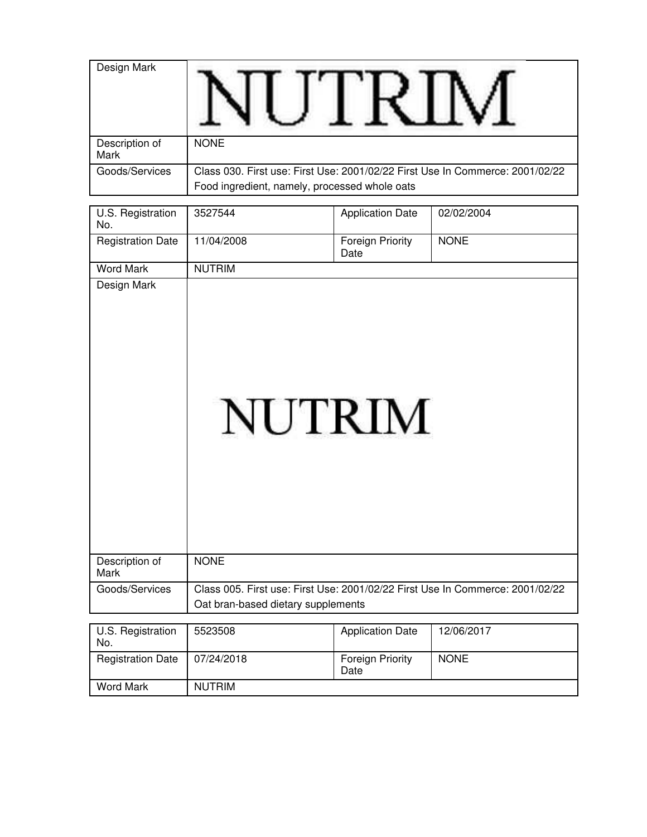| Design Mark            |                                                                                                                                |
|------------------------|--------------------------------------------------------------------------------------------------------------------------------|
| Description of<br>Mark | <b>NONE</b>                                                                                                                    |
| Goods/Services         | Class 030. First use: First Use: 2001/02/22 First Use In Commerce: 2001/02/22<br>Food ingredient, namely, processed whole oats |

| U.S. Registration<br>No.      | 3527544                                                                                                             | <b>Application Date</b>         | 02/02/2004  |
|-------------------------------|---------------------------------------------------------------------------------------------------------------------|---------------------------------|-------------|
| <b>Registration Date</b>      | 11/04/2008                                                                                                          | <b>Foreign Priority</b><br>Date | <b>NONE</b> |
| <b>Word Mark</b>              | <b>NUTRIM</b>                                                                                                       |                                 |             |
| Design Mark                   | <b>NUTRIM</b>                                                                                                       |                                 |             |
| Description of<br><b>Mark</b> | <b>NONE</b>                                                                                                         |                                 |             |
| Goods/Services                | Class 005. First use: First Use: 2001/02/22 First Use In Commerce: 2001/02/22<br>Oat bran-based dietary supplements |                                 |             |
|                               |                                                                                                                     |                                 |             |
| U.S. Registration<br>No.      | 5523508                                                                                                             | <b>Application Date</b>         | 12/06/2017  |
| <b>Registration Date</b>      | 07/24/2018                                                                                                          | <b>Foreign Priority</b><br>Date | <b>NONE</b> |
| <b>Word Mark</b>              | <b>NUTRIM</b>                                                                                                       |                                 |             |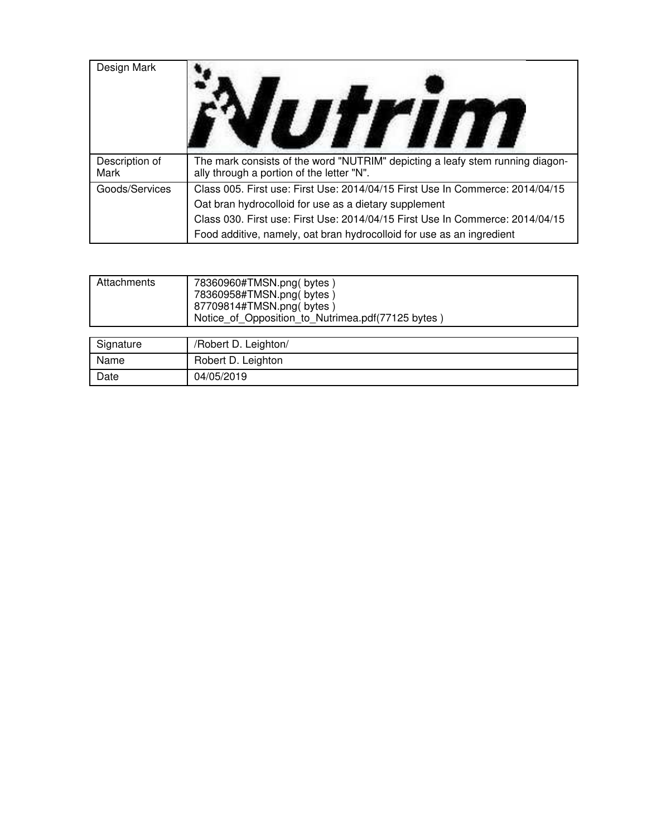| Design Mark            |                                                                                                                                                        |
|------------------------|--------------------------------------------------------------------------------------------------------------------------------------------------------|
| Description of<br>Mark | The mark consists of the word "NUTRIM" depicting a leafy stem running diagon-<br>ally through a portion of the letter "N".                             |
| Goods/Services         | Class 005. First use: First Use: 2014/04/15 First Use In Commerce: 2014/04/15<br>Oat bran hydrocolloid for use as a dietary supplement                 |
|                        | Class 030. First use: First Use: 2014/04/15 First Use In Commerce: 2014/04/15<br>Food additive, namely, oat bran hydrocolloid for use as an ingredient |

| Attachments | 78360960#TMSN.png(bytes)<br>78360958#TMSN.png(bytes)<br>87709814#TMSN.png(bytes)<br>Notice_of_Opposition_to_Nutrimea.pdf(77125 bytes) |
|-------------|---------------------------------------------------------------------------------------------------------------------------------------|
|             |                                                                                                                                       |
| $\sim$      | - - - - -                                                                                                                             |

| Signature | /Robert D. Leighton/ |
|-----------|----------------------|
| Name      | Robert D. Leighton   |
| Date      | 04/05/2019           |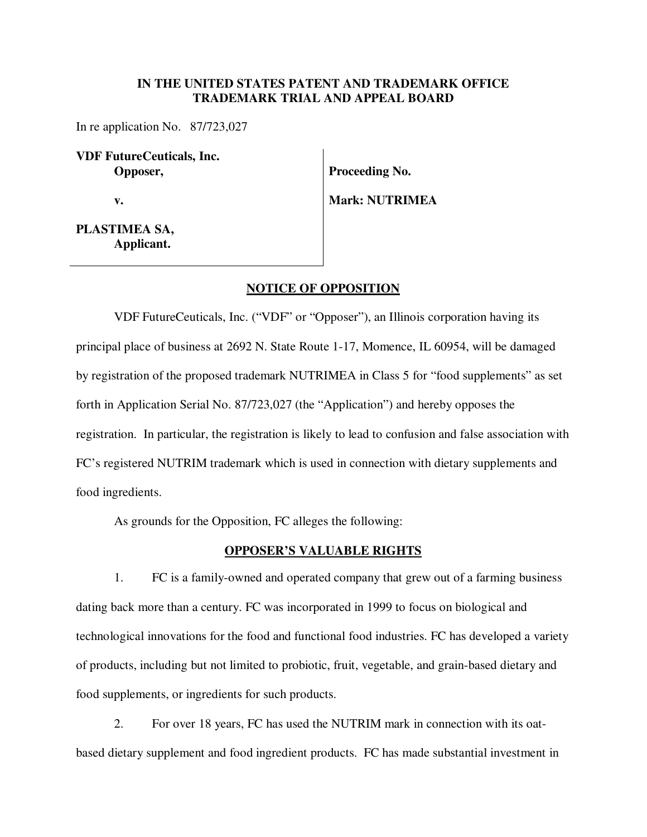#### **IN THE UNITED STATES PATENT AND TRADEMARK OFFICE TRADEMARK TRIAL AND APPEAL BOARD**

In re application No. 87/723,027

**VDF FutureCeuticals, Inc. Opposer,** 

 **v.** 

**Proceeding No.** 

**Mark: NUTRIMEA** 

**PLASTIMEA SA, Applicant.**

#### **NOTICE OF OPPOSITION**

VDF FutureCeuticals, Inc. ("VDF" or "Opposer"), an Illinois corporation having its principal place of business at 2692 N. State Route 1-17, Momence, IL 60954, will be damaged by registration of the proposed trademark NUTRIMEA in Class 5 for "food supplements" as set forth in Application Serial No. 87/723,027 (the "Application") and hereby opposes the registration. In particular, the registration is likely to lead to confusion and false association with FC's registered NUTRIM trademark which is used in connection with dietary supplements and food ingredients.

As grounds for the Opposition, FC alleges the following:

#### **OPPOSER'S VALUABLE RIGHTS**

1. FC is a family-owned and operated company that grew out of a farming business dating back more than a century. FC was incorporated in 1999 to focus on biological and technological innovations for the food and functional food industries. FC has developed a variety of products, including but not limited to probiotic, fruit, vegetable, and grain-based dietary and food supplements, or ingredients for such products.

2. For over 18 years, FC has used the NUTRIM mark in connection with its oatbased dietary supplement and food ingredient products. FC has made substantial investment in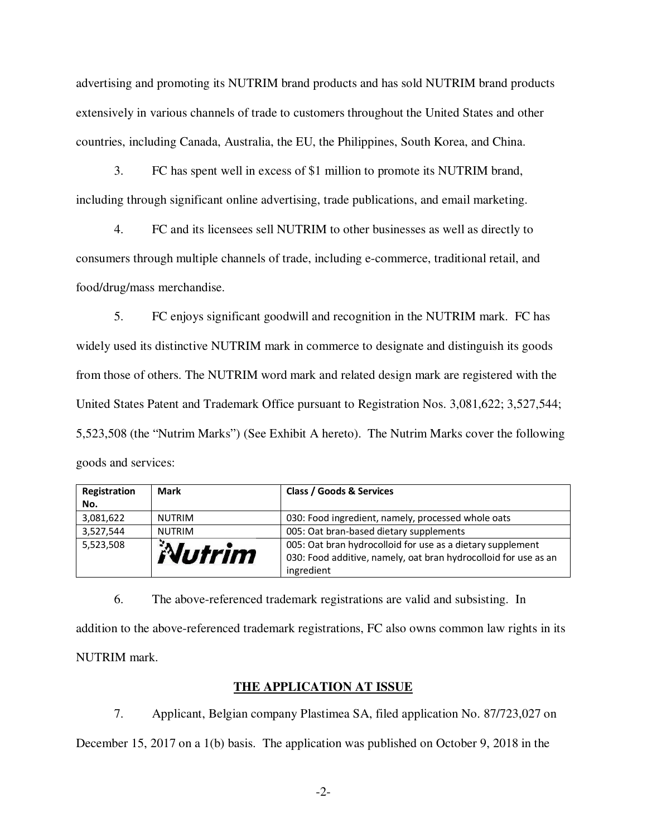advertising and promoting its NUTRIM brand products and has sold NUTRIM brand products extensively in various channels of trade to customers throughout the United States and other countries, including Canada, Australia, the EU, the Philippines, South Korea, and China.

3. FC has spent well in excess of \$1 million to promote its NUTRIM brand, including through significant online advertising, trade publications, and email marketing.

4. FC and its licensees sell NUTRIM to other businesses as well as directly to consumers through multiple channels of trade, including e-commerce, traditional retail, and food/drug/mass merchandise.

5. FC enjoys significant goodwill and recognition in the NUTRIM mark. FC has widely used its distinctive NUTRIM mark in commerce to designate and distinguish its goods from those of others. The NUTRIM word mark and related design mark are registered with the United States Patent and Trademark Office pursuant to Registration Nos. 3,081,622; 3,527,544; 5,523,508 (the "Nutrim Marks") (See Exhibit A hereto). The Nutrim Marks cover the following goods and services:

| Registration | <b>Mark</b>   | Class / Goods & Services                                        |
|--------------|---------------|-----------------------------------------------------------------|
| No.          |               |                                                                 |
| 3,081,622    | <b>NUTRIM</b> | 030: Food ingredient, namely, processed whole oats              |
| 3,527,544    | <b>NUTRIM</b> | 005: Oat bran-based dietary supplements                         |
| 5,523,508    |               | 005: Oat bran hydrocolloid for use as a dietary supplement      |
|              | Nutrim        | 030: Food additive, namely, oat bran hydrocolloid for use as an |
|              |               | ingredient                                                      |

6. The above-referenced trademark registrations are valid and subsisting. In addition to the above-referenced trademark registrations, FC also owns common law rights in its NUTRIM mark.

### **THE APPLICATION AT ISSUE**

7. Applicant, Belgian company Plastimea SA, filed application No. 87/723,027 on December 15, 2017 on a 1(b) basis. The application was published on October 9, 2018 in the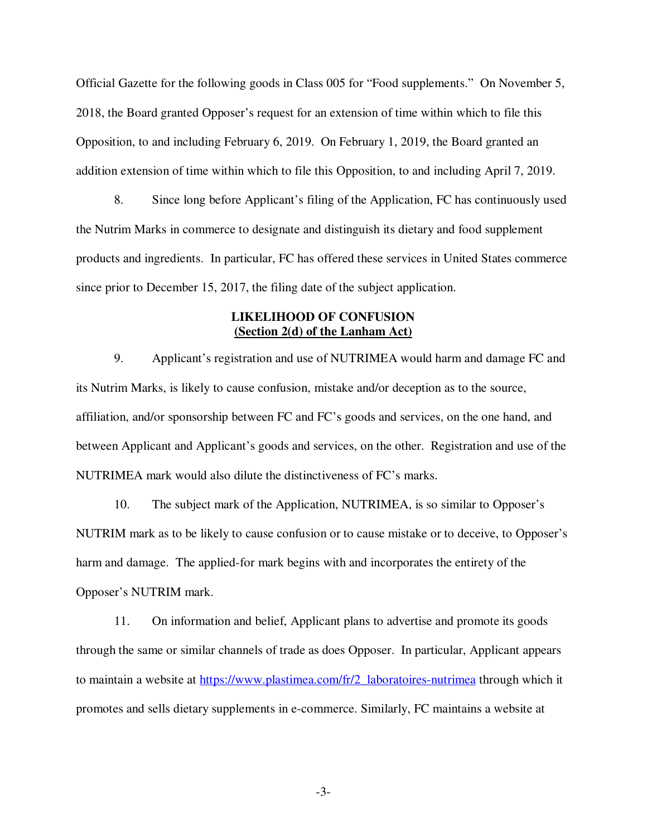Official Gazette for the following goods in Class 005 for "Food supplements." On November 5, 2018, the Board granted Opposer's request for an extension of time within which to file this Opposition, to and including February 6, 2019. On February 1, 2019, the Board granted an addition extension of time within which to file this Opposition, to and including April 7, 2019.

8. Since long before Applicant's filing of the Application, FC has continuously used the Nutrim Marks in commerce to designate and distinguish its dietary and food supplement products and ingredients. In particular, FC has offered these services in United States commerce since prior to December 15, 2017, the filing date of the subject application.

#### **LIKELIHOOD OF CONFUSION (Section 2(d) of the Lanham Act)**

9. Applicant's registration and use of NUTRIMEA would harm and damage FC and its Nutrim Marks, is likely to cause confusion, mistake and/or deception as to the source, affiliation, and/or sponsorship between FC and FC's goods and services, on the one hand, and between Applicant and Applicant's goods and services, on the other. Registration and use of the NUTRIMEA mark would also dilute the distinctiveness of FC's marks.

10. The subject mark of the Application, NUTRIMEA, is so similar to Opposer's NUTRIM mark as to be likely to cause confusion or to cause mistake or to deceive, to Opposer's harm and damage. The applied-for mark begins with and incorporates the entirety of the Opposer's NUTRIM mark.

11. On information and belief, Applicant plans to advertise and promote its goods through the same or similar channels of trade as does Opposer. In particular, Applicant appears to maintain a website at https://www.plastimea.com/fr/2\_laboratoires-nutrimea through which it promotes and sells dietary supplements in e-commerce. Similarly, FC maintains a website at

-3-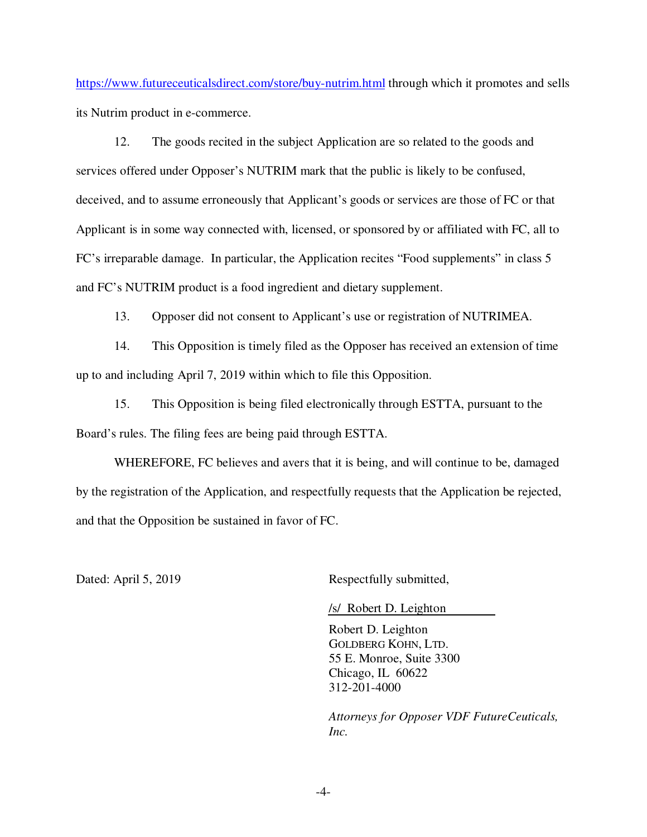https://www.futureceuticalsdirect.com/store/buy-nutrim.html through which it promotes and sells its Nutrim product in e-commerce.

12. The goods recited in the subject Application are so related to the goods and services offered under Opposer's NUTRIM mark that the public is likely to be confused, deceived, and to assume erroneously that Applicant's goods or services are those of FC or that Applicant is in some way connected with, licensed, or sponsored by or affiliated with FC, all to FC's irreparable damage. In particular, the Application recites "Food supplements" in class 5 and FC's NUTRIM product is a food ingredient and dietary supplement.

13. Opposer did not consent to Applicant's use or registration of NUTRIMEA.

14. This Opposition is timely filed as the Opposer has received an extension of time up to and including April 7, 2019 within which to file this Opposition.

15. This Opposition is being filed electronically through ESTTA, pursuant to the Board's rules. The filing fees are being paid through ESTTA.

WHEREFORE, FC believes and avers that it is being, and will continue to be, damaged by the registration of the Application, and respectfully requests that the Application be rejected, and that the Opposition be sustained in favor of FC.

Dated: April 5, 2019 Respectfully submitted,

/s/ Robert D. Leighton

Robert D. Leighton GOLDBERG KOHN, LTD. 55 E. Monroe, Suite 3300 Chicago, IL 60622 312-201-4000

*Attorneys for Opposer VDF FutureCeuticals, Inc.*

-4-